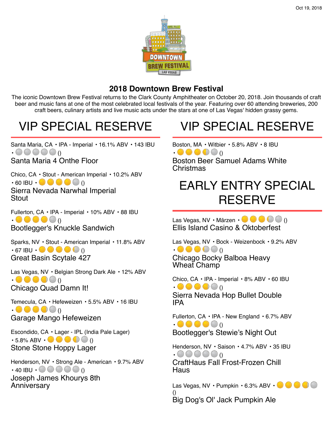

#### **2018 Downtown Brew Festival**

The iconic Downtown Brew Festival returns to the Clark County Amphitheater on October 20, 2018. Join thousands of craft beer and music fans at one of the most celebrated local festivals of the year. Featuring over 60 attending breweries, 200 craft beers, culinary artists and live music acts under the stars at one of Las Vegas' hidden grassy gems.

#### VIP SPECIAL RESERVE

Santa Maria, CA • IPA - Imperial • 16.1% ABV • 143 IBU  $• \bigcirc$   $\bigcirc$   $\bigcirc$   $\bigcirc$   $\bigcirc$ 

Santa Maria 4 Onthe Floor

Chico, CA • Stout - American Imperial • 10.2% ABV  $\cdot$  60 IBU  $\cdot \bullet \bullet \bullet \bullet$  () Sierra Nevada Narwhal Imperial **Stout** 

Fullerton, CA • IPA - Imperial • 10% ABV • 88 IBU  $\bullet \bullet \bullet \bullet \bullet$ Bootlegger's Knuckle Sandwich

Sparks, NV • Stout - American Imperial • 11.8% ABV  $\cdot$  67 IBU  $\cdot$  ()  $\bullet$  ()  $\bullet$  () () Great Basin Scytale 427

Las Vegas, NV · Belgian Strong Dark Ale · 12% ABV  $\bullet \bullet \bullet \bullet \bullet$ Chicago Quad Damn It!

Temecula, CA • Hefeweizen • 5.5% ABV • 16 IBU  $\bullet \bullet \bullet \bullet \bullet$ Garage Mango Hefeweizen

Escondido, CA • Lager - IPL (India Pale Lager) • 5.8% ABV • () Stone Stone Hoppy Lager

Henderson, NV • Strong Ale - American • 9.7% ABV  $\cdot$  40 IBU  $\cdot$   $\circ$   $\circ$   $\circ$   $\circ$   $\circ$   $\circ$ Joseph James Khourys 8th Anniversary

#### VIP SPECIAL RESERVE

Boston, MA • Witbier • 5.8% ABV • 8 IBU  $\bullet \bullet \bullet \bullet \bullet$ Boston Beer Samuel Adams White **Christmas** 

#### EARLY ENTRY SPECIAL **RESERVE**

Las Vegas, NV • Märzen •  $\bullet \bullet \bullet \bullet$  () Ellis Island Casino & Oktoberfest

Las Vegas, NV • Bock - Weizenbock • 9.2% ABV  $\bullet \bullet \bullet \bullet \bullet$ Chicago Bocky Balboa Heavy

Wheat Champ

Chico, CA • IPA - Imperial • 8% ABV • 60 IBU  $\bullet \bullet \bullet \bullet \bullet$ 

Sierra Nevada Hop Bullet Double IPA

Fullerton, CA • IPA - New England • 6.7% ABV  $\bullet \bullet \bullet \bullet \bullet$ Bootlegger's Stewie's Night Out

Henderson, NV • Saison • 4.7% ABV • 35 IBU  $-000000$ CraftHaus Fall Frost-Frozen Chill

Haus

Las Vegas, NV · Pumpkin · 6.3% ABV · **\* \* \* \*** () Big Dog's Ol' Jack Pumpkin Ale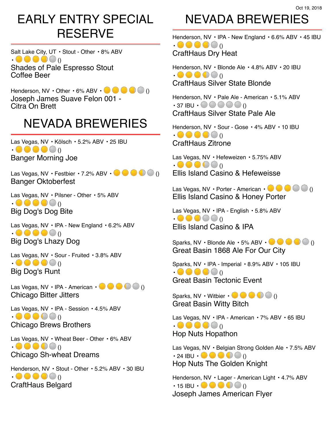#### EARLY ENTRY SPECIAL **RESERVE**

Salt Lake City, UT · Stout - Other · 8% ABV  $\bullet \bullet \bullet \bullet \bullet$ Shades of Pale Espresso Stout Coffee Beer

Henderson, NV  $\cdot$  Other  $\cdot$  6% ABV  $\cdot \bullet \bullet \bullet \bullet$ Joseph James Suave Felon 001 - Citra On Brett

#### NEVADA BREWERIES

Las Vegas, NV · Kölsch · 5.2% ABV · 25 IBU  $\bullet \bullet \bullet \bullet \bullet$ Banger Morning Joe

Las Vegas, NV • Festbier • 7.2% ABV •  $\blacksquare$  () Banger Oktoberfest

Las Vegas, NV • Pilsner - Other • 5% ABV  $\bullet \bullet \bullet \bullet \bullet$ Big Dog's Dog Bite

Las Vegas, NV · IPA - New England · 6.2% ABV  $\bullet \bullet \bullet \bullet \bullet$ Big Dog's Lhazy Dog

Las Vegas, NV · Sour - Fruited · 3.8% ABV  $\bullet \bullet \bullet \bullet \bullet$ Big Dog's Runt

Las Vegas, NV • IPA - American •  $\bullet \bullet \bullet \bullet$  () Chicago Bitter Jitters

Las Vegas, NV • IPA - Session • 4.5% ABV  $\bullet \bullet \bullet \bullet \bullet$ Chicago Brews Brothers

Las Vegas, NV · Wheat Beer - Other · 6% ABV  $\bullet \bullet \bullet \bullet \bullet$ Chicago Sh-wheat Dreams

Henderson, NV • Stout - Other • 5.2% ABV • 30 IBU  $\bullet \bullet \bullet \bullet \bullet$ CraftHaus Belgard

## NEVADA BREWERIES

Henderson, NV • IPA - New England • 6.6% ABV • 45 IBU  $\bullet \bullet \bullet \bullet \bullet$ CraftHaus Dry Heat

Henderson, NV • Blonde Ale • 4.8% ABV • 20 IBU  $\bullet \bullet \bullet \bullet \bullet$ CraftHaus Silver State Blonde

Henderson, NV • Pale Ale - American • 5.1% ABV  $\cdot$  37 IBU  $\cdot$   $\bullet$   $\bullet$   $\bullet$   $\bullet$   $\bullet$ CraftHaus Silver State Pale Ale

Henderson, NV • Sour - Gose • 4% ABV • 10 IBU  $\bullet \bullet \bullet \bullet \bullet$ CraftHaus Zitrone

Las Vegas, NV • Hefeweizen • 5.75% ABV  $\bullet \bullet \bullet \bullet \bullet$ Ellis Island Casino & Hefeweisse

Las Vegas, NV • Porter - American •  $\blacksquare \blacksquare \blacksquare \blacksquare$  () Ellis Island Casino & Honey Porter

Las Vegas, NV · IPA - English · 5.8% ABV  $\bullet \bullet \bullet \bullet \bullet \bullet$ Ellis Island Casino & IPA

Sparks, NV • Blonde Ale • 5% ABV • () Great Basin 1868 Ale For Our City

Sparks, NV • IPA - Imperial • 8.9% ABV • 105 IBU  $\bullet \bullet \bullet \bullet \bullet$ Great Basin Tectonic Event

Sparks, NV • Witbier •  $\bullet \bullet \bullet \bullet$  () Great Basin Witty Bitch

Las Vegas, NV • IPA - American • 7% ABV • 65 IBU  $\bullet \bullet \bullet \bullet \bullet$ Hop Nuts Hopathon

Las Vegas, NV • Belgian Strong Golden Ale • 7.5% ABV  $\cdot$  24 IBU  $\cdot \bullet \bullet \bullet \bullet$  () Hop Nuts The Golden Knight

Henderson, NV • Lager - American Light • 4.7% ABV  $\cdot$  15 IBU  $\cdot \bullet \bullet \bullet \bullet$  () Joseph James American Flyer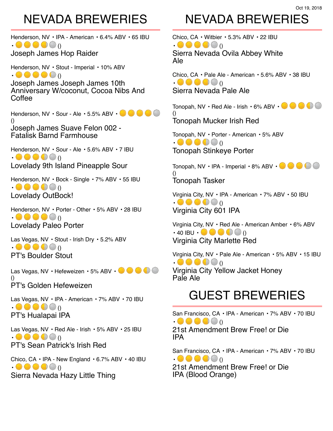#### NEVADA BREWERIES

Oct 19, 2018

Henderson, NV • IPA - American • 6.4% ABV • 65 IBU  $\bullet \bullet \bullet \bullet \bullet$ 

Joseph James Hop Raider

Henderson, NV • Stout - Imperial • 10% ABV  $\bullet \bullet \bullet \bullet \bullet$ 

Joseph James Joseph James 10th Anniversary W/coconut, Cocoa Nibs And Coffee

Henderson, NV · Sour - Ale · 5.5% ABV · **CHOOP** () Joseph James Suave Felon 002 - Fatalisk Barnd Farmhouse

Henderson, NV • Sour - Ale • 5.6% ABV • 7 IBU  $\bullet \bullet \bullet \bullet \bullet$ Lovelady 9th Island Pineapple Sour

Henderson, NV • Bock - Single • 7% ABV • 55 IBU  $\bullet \bullet \bullet \bullet \bullet$ Lovelady OutBock!

Henderson, NV • Porter - Other • 5% ABV • 28 IBU  $\bullet \bullet \bullet \bullet \bullet$ Lovelady Paleo Porter

Las Vegas, NV • Stout - Irish Dry • 5.2% ABV  $\bullet \bullet \bullet \bullet \bullet$ PT's Boulder Stout

Las Vegas, NV · Hefeweizen · 5% ABV · **ORT & STAR** () PT's Golden Hefeweizen

Las Vegas, NV • IPA - American • 7% ABV • 70 IBU  $\bullet \bullet \bullet \bullet \bullet$ PT's Hualapai IPA

Las Vegas, NV · Red Ale - Irish · 5% ABV · 25 IBU  $\bullet \bullet \bullet \bullet \bullet$ PT's Sean Patrick's Irish Red

Chico, CA • IPA - New England • 6.7% ABV • 40 IBU  $\bullet \bullet \bullet \bullet \bullet$ Sierra Nevada Hazy Little Thing

#### NEVADA BREWERIES

Chico, CA • Witbier • 5.3% ABV • 22 IBU  $\bullet \bullet \bullet \bullet \bullet$ Sierra Nevada Ovila Abbey White Ale

Chico, CA • Pale Ale - American • 5.6% ABV • 38 IBU  $\bullet \bullet \bullet \bullet \bullet$ Sierra Nevada Pale Ale

Tonopah, NV  $\cdot$  Red Ale - Irish  $\cdot$  6% ABV  $\cdot$   $\bullet$   $\bullet$   $\bullet$ () Tonopah Mucker Irish Red

Tonopah, NV • Porter - American • 5% ABV  $\bullet \bullet \bullet \bullet \bullet$ Tonopah Stinkeye Porter

Tonopah, NV • IPA - Imperial • 8% ABV •  $\bullet$   $\bullet$ () Tonopah Tasker

Virginia City, NV • IPA - American • 7% ABV • 50 IBU  $\bullet \bullet \bullet \bullet \bullet$ Virginia City 601 IPA

Virginia City, NV • Red Ale - American Amber • 6% ABV  $\cdot$  40 IBU  $\cdot \bullet \bullet \bullet \bullet \bullet$  () Virginia City Marlette Red

Virginia City, NV • Pale Ale - American • 5% ABV • 15 IBU  $\bullet \bullet \bullet \bullet \bullet$ Virginia City Yellow Jacket Honey Pale Ale

#### GUEST BREWERIES

San Francisco, CA • IPA - American • 7% ABV • 70 IBU  $\bullet \bullet \bullet \bullet \bullet$ 21st Amendment Brew Free! or Die IPA

San Francisco, CA • IPA - American • 7% ABV • 70 IBU  $\bullet \bullet \bullet \bullet \bullet$ 

21st Amendment Brew Free! or Die IPA (Blood Orange)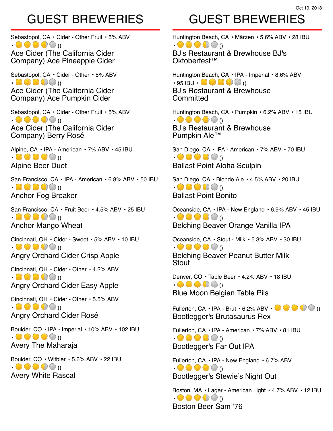#### Oct 19, 2018

#### GUEST BREWERIES

Sebastopol, CA • Cider - Other Fruit • 5% ABV  $\bullet \bullet \bullet \bullet \bullet$ Ace Cider (The California Cider

Company) Ace Pineapple Cider Sebastopol, CA · Cider - Other · 5% ABV  $\bullet \bullet \bullet \bullet \bullet$ Ace Cider (The California Cider

Company) Ace Pumpkin Cider

Sebastopol, CA • Cider - Other Fruit • 5% ABV  $\bullet \bullet \bullet \bullet \bullet \bullet$ Ace Cider (The California Cider Company) Berry Rosé

Alpine, CA • IPA - American • 7% ABV • 45 IBU  $\bullet \bullet \bullet \bullet \bullet$ Alpine Beer Duet

San Francisco, CA • IPA - American • 6.8% ABV • 50 IBU  $\bullet \bullet \bullet \bullet \bullet$ Anchor Fog Breaker

San Francisco, CA • Fruit Beer • 4.5% ABV • 25 IBU  $\bullet \bullet \bullet \bullet \bullet$ Anchor Mango Wheat

Cincinnati, OH • Cider - Sweet • 5% ABV • 10 IBU  $\bullet \bullet \bullet \bullet \bullet$ Angry Orchard Cider Crisp Apple

Cincinnati, OH • Cider - Other • 4.2% ABV  $\bullet \bullet \bullet \bullet \bullet$ Angry Orchard Cider Easy Apple

Cincinnati, OH • Cider - Other • 5.5% ABV  $\bullet \bullet \bullet \bullet \bullet$ Angry Orchard Cider Rosé

Boulder, CO • IPA - Imperial • 10% ABV • 102 IBU  $\bullet \bullet \bullet \bullet \bullet$ Avery The Maharaja

Boulder, CO • Witbier • 5.6% ABV • 22 IBU  $\bullet \bullet \bullet \bullet \bullet$ Avery White Rascal

#### GUEST BREWERIES

Huntington Beach, CA • Märzen • 5.6% ABV • 28 IBU  $\bullet \bullet \bullet \bullet \bullet$ 

BJ's Restaurant & Brewhouse BJ's Oktoberfest™

Huntington Beach, CA • IPA - Imperial • 8.6% ABV  $\cdot$  95 IBU  $\cdot$   $\bullet$   $\bullet$   $\bullet$   $\bullet$  () BJ's Restaurant & Brewhouse **Committed** 

Huntington Beach, CA • Pumpkin • 6.2% ABV • 15 IBU  $\bullet \bullet \bullet \bullet \bullet$ BJ's Restaurant & Brewhouse Pumpkin Ale™

San Diego, CA • IPA - American • 7% ABV • 70 IBU  $\bullet \bullet \bullet \bullet \bullet$ Ballast Point Aloha Sculpin

San Diego, CA • Blonde Ale • 4.5% ABV • 20 IBU  $\bullet \bullet \bullet \bullet \bullet$ Ballast Point Bonito

Oceanside, CA • IPA - New England • 6.9% ABV • 45 IBU  $\bullet \bullet \bullet \bullet \bullet$ Belching Beaver Orange Vanilla IPA

Oceanside, CA • Stout - Milk • 5.3% ABV • 30 IBU  $\bullet \bullet \bullet \bullet \bullet$ Belching Beaver Peanut Butter Milk Stout

Denver, CO · Table Beer · 4.2% ABV · 18 IBU  $\bullet \bullet \bullet \bullet \bullet$ Blue Moon Belgian Table Pils

Fullerton, CA • IPA - Brut • 6.2% ABV •  $\blacksquare \blacksquare \blacksquare \blacksquare$  () Bootlegger's Brutasaurus Rex

Fullerton, CA • IPA - American • 7% ABV • 81 IBU  $\bullet \bullet \bullet \bullet \bullet$ Bootlegger's Far Out IPA

Fullerton, CA • IPA - New England • 6.7% ABV  $\bullet \bullet \bullet \bullet \bullet$ Bootlegger's Stewie's Night Out

Boston, MA • Lager - American Light • 4.7% ABV • 12 IBU  $\bullet \bullet \bullet \bullet \bullet$ Boston Beer Sam '76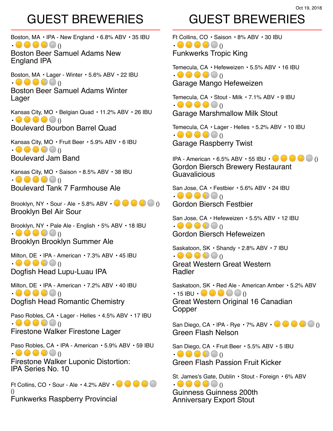GUEST BREWERIES

Ft Collins, CO • Saison • 8% ABV • 30 IBU  $\bullet \bullet \bullet \bullet \bullet$ Funkwerks Tropic King

Temecula, CA • Hefeweizen • 5.5% ABV • 16 IBU  $\bullet \bullet \bullet \bullet \bullet$ Garage Mango Hefeweizen

Temecula, CA • Stout - Milk • 7.1% ABV • 9 IBU  $\cdot \bullet \bullet \bullet \bullet \bullet$ Garage Marshmallow Milk Stout

Temecula, CA • Lager - Helles • 5.2% ABV • 10 IBU  $\bullet \bullet \bullet \bullet \bullet$ Garage Raspberry Twist

IPA - American • 6.5% ABV • 55 IBU • () Gordon Biersch Brewery Restaurant **Guavalicious** 

San Jose, CA • Festbier • 5.6% ABV • 24 IBU  $\bullet \bullet \bullet \bullet \bullet$ Gordon Biersch Festbier

San Jose, CA • Hefeweizen • 5.5% ABV • 12 IBU  $\bullet \bullet \bullet \bullet \bullet$ Gordon Biersch Hefeweizen

Saskatoon, SK • Shandy • 2.8% ABV • 7 IBU

 $\bullet \bullet \bullet \bullet \bullet$ Great Western Great Western Radler

Saskatoon, SK • Red Ale - American Amber • 5.2% ABV  $\cdot$  15 IBU  $\cdot$   $\bullet$   $\bullet$   $\bullet$  () Great Western Original 16 Canadian Copper

San Diego, CA • IPA - Rye • 7% ABV •  $\bullet$   $\bullet$   $\bullet$   $\bullet$   $\bullet$ Green Flash Nelson

San Diego, CA • Fruit Beer • 5.5% ABV • 5 IBU  $\bullet \bullet \bullet \bullet \bullet$ Green Flash Passion Fruit Kicker

St. James's Gate, Dublin • Stout - Foreign • 6% ABV  $\bullet \bullet \bullet \bullet \bullet$ Guinness Guinness 200th Anniversary Export Stout

Boston, MA • IPA - New England • 6.8% ABV • 35 IBU  $\bullet \bullet \bullet \bullet \bullet$ Boston Beer Samuel Adams New

England IPA

Boston, MA • Lager - Winter • 5.6% ABV • 22 IBU  $\bullet \bullet \bullet \bullet \bullet$ Boston Beer Samuel Adams Winter

Lager

Kansas City, MO • Belgian Quad • 11.2% ABV • 26 IBU  $\bullet \bullet \bullet \bullet \bullet$ Boulevard Bourbon Barrel Quad

Kansas City, MO • Fruit Beer • 5.9% ABV • 6 IBU  $\bullet \bullet \bullet \bullet \bullet$ Boulevard Jam Band

Kansas City, MO • Saison • 8.5% ABV • 38 IBU  $\bullet \bullet \bullet \bullet \bullet$ Boulevard Tank 7 Farmhouse Ale

Brooklyn, NY  $\cdot$  Sour - Ale  $\cdot$  5.8% ABV  $\cdot$   $\cdot$   $\cdot$   $\cdot$   $\cdot$   $\cdot$   $\cdot$  () Brooklyn Bel Air Sour

Brooklyn, NY • Pale Ale - English • 5% ABV • 18 IBU  $\bullet \bullet \bullet \bullet \bullet$ Brooklyn Brooklyn Summer Ale

Milton, DE • IPA - American • 7.3% ABV • 45 IBU  $\bullet \bullet \bullet \bullet \bullet$ Dogfish Head Lupu-Luau IPA

Milton, DE • IPA - American • 7.2% ABV • 40 IBU  $\bullet \bullet \bullet \bullet \bullet$ Dogfish Head Romantic Chemistry

Paso Robles, CA • Lager - Helles • 4.5% ABV • 17 IBU  $\bullet \bullet \bullet \bullet \bullet$ Firestone Walker Firestone Lager

Paso Robles, CA • IPA - American • 5.9% ABV • 59 IBU  $\bullet \bullet \bullet \bullet \bullet$ Firestone Walker Luponic Distortion: IPA Series No. 10

Ft Collins,  $CO \cdot$  Sour - Ale  $\cdot$  4.2% ABV  $\cdot$   $\cdot$   $\cdot$   $\cdot$   $\cdot$   $\cdot$ () Funkwerks Raspberry Provincial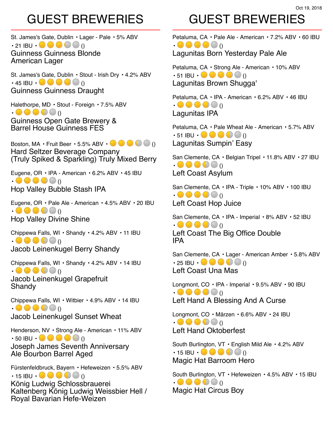St. James's Gate, Dublin • Lager - Pale • 5% ABV  $\cdot$  21 IBU  $\cdot$  **O**  $\bullet$  ()  $\bullet$  () Guinness Guinness Blonde American Lager

St. James's Gate, Dublin • Stout - Irish Dry • 4.2% ABV  $\cdot$  45 IBU  $\cdot \bullet \bullet \bullet \bullet$  () Guinness Guinness Draught

Halethorpe, MD • Stout - Foreign • 7.5% ABV  $\bullet \bullet \bullet \bullet \bullet$ 

Guinness Open Gate Brewery & Barrel House Guinness FES

Boston, MA • Fruit Beer • 5.5% ABV •  $\bullet$   $\bullet$   $\bullet$  () Hard Seltzer Beverage Company (Truly Spiked & Sparkling) Truly Mixed Berry

Eugene, OR • IPA - American • 6.2% ABV • 45 IBU  $\bullet \bullet \bullet \bullet \bullet$ Hop Valley Bubble Stash IPA

Eugene, OR • Pale Ale - American • 4.5% ABV • 20 IBU  $\bullet \bullet \bullet \bullet \bullet$ Hop Valley Divine Shine

Chippewa Falls, WI • Shandy • 4.2% ABV • 11 IBU  $\bullet \bullet \bullet \bullet \bullet$ Jacob Leinenkugel Berry Shandy

Chippewa Falls, WI • Shandy • 4.2% ABV • 14 IBU  $\bullet \bullet \bullet \bullet \bullet$ 

Jacob Leinenkugel Grapefruit Shandy

Chippewa Falls, WI • Witbier • 4.9% ABV • 14 IBU  $\bullet \bullet \bullet \bullet \bullet$ Jacob Leinenkugel Sunset Wheat

Henderson, NV • Strong Ale - American • 11% ABV  $\cdot$  50 IBU  $\cdot \bullet \bullet \bullet \bullet \bullet$  () Joseph James Seventh Anniversary Ale Bourbon Barrel Aged

Fürstenfeldbruck, Bayern • Hefeweizen • 5.5% ABV  $\cdot$  15 IBU  $\cdot \bullet \bullet \bullet \bullet \bullet$ 

König Ludwig Schlossbrauerei Kaltenberg König Ludwig Weissbier Hell / Royal Bavarian Hefe-Weizen

#### GUEST BREWERIES

Petaluma, CA • Pale Ale - American • 7.2% ABV • 60 IBU  $\bullet \bullet \bullet \bullet \bullet$ 

Lagunitas Born Yesterday Pale Ale

Petaluma, CA • Strong Ale - American • 10% ABV  $\cdot$  51 IBU  $\cdot \bullet \bullet \bullet \bullet \bullet$ Lagunitas Brown Shugga'

Petaluma, CA • IPA - American • 6.2% ABV • 46 IBU  $\bullet \bullet \bullet \bullet \bullet$ Lagunitas IPA

Petaluma, CA • Pale Wheat Ale - American • 5.7% ABV  $\cdot$  51 IBU  $\cdot \bullet \bullet \bullet \bullet \bullet$ Lagunitas Sumpin' Easy

San Clemente, CA • Belgian Tripel • 11.8% ABV • 27 IBU  $\bullet \bullet \bullet \bullet \bullet$ Left Coast Asylum

San Clemente, CA • IPA - Triple • 10% ABV • 100 IBU  $\bullet \bullet \bullet \bullet \bullet$ Left Coast Hop Juice

San Clemente, CA • IPA - Imperial • 8% ABV • 52 IBU  $\bullet \bullet \bullet \bullet \bullet$ Left Coast The Big Office Double IPA

San Clemente, CA • Lager - American Amber • 5.8% ABV  $\cdot$  25 IBU  $\cdot$   $\bullet$   $\bullet$   $\bullet$   $\bullet$  () Left Coast Una Mas

Longmont, CO · IPA - Imperial · 9.5% ABV · 90 IBU  $\bullet \bullet \bullet \bullet \bullet$ Left Hand A Blessing And A Curse

Longmont, CO · Märzen · 6.6% ABV · 24 IBU  $\bullet \bullet \bullet \bullet \bullet$ Left Hand Oktoberfest

South Burlington, VT • English Mild Ale • 4.2% ABV  $\cdot$  15 IBU  $\cdot$  () () () () () Magic Hat Barroom Hero

South Burlington, VT • Hefeweizen • 4.5% ABV • 15 IBU  $\bullet \bullet \bullet \bullet \bullet$ Magic Hat Circus Boy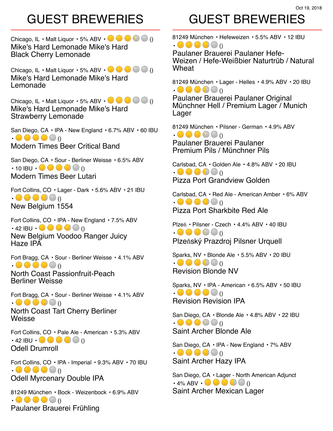#### Oct 19, 2018

#### GUEST BREWERIES

Chicago, IL • Malt Liquor • 5% ABV •  $\bullet \bullet \bullet$  () Mike's Hard Lemonade Mike's Hard Black Cherry Lemonade

Chicago, IL • Malt Liquor • 5% ABV •  $\bullet \bullet \bullet \bullet$  () Mike's Hard Lemonade Mike's Hard Lemonade

Chicago, IL • Malt Liquor • 5% ABV •  $\bullet \bullet \bullet \bullet$  () Mike's Hard Lemonade Mike's Hard Strawberry Lemonade

San Diego, CA • IPA - New England • 6.7% ABV • 60 IBU  $\bullet \bullet \bullet \bullet \bullet$ Modern Times Beer Critical Band

San Diego, CA • Sour - Berliner Weisse • 6.5% ABV  $\cdot$  10 IBU  $\cdot$  () () () () () () Modern Times Beer Lutari

Fort Collins, CO • Lager - Dark • 5.6% ABV • 21 IBU  $\bullet \bullet \bullet \bullet \bullet$ New Belgium 1554

Fort Collins, CO • IPA - New England • 7.5% ABV  $\cdot$  42 IBU  $\cdot \bullet \bullet \bullet \bullet \bullet$ New Belgium Voodoo Ranger Juicy Haze IPA

Fort Bragg, CA • Sour - Berliner Weisse • 4.1% ABV  $\bullet \bullet \bullet \bullet \bullet$ 

North Coast Passionfruit-Peach Berliner Weisse

Fort Bragg, CA • Sour - Berliner Weisse • 4.1% ABV  $\bullet \bullet \bullet \bullet \bullet$ 

North Coast Tart Cherry Berliner **Weisse** 

Fort Collins, CO • Pale Ale - American • 5.3% ABV  $\cdot$  42 IBU  $\cdot$   $\bullet$   $\bullet$   $\bullet$  () Odell Drumroll

Fort Collins, CO • IPA - Imperial • 9.3% ABV • 70 IBU  $\bullet \bullet \bullet \bullet \bullet$ Odell Myrcenary Double IPA

81249 München • Bock - Weizenbock • 6.9% ABV  $\bullet \bullet \bullet \bullet \bullet$ Paulaner Brauerei Frühling

## GUEST BREWERIES

81249 München • Hefeweizen • 5.5% ABV • 12 IBU  $\bullet \bullet \bullet \bullet \bullet$ 

Paulaner Brauerei Paulaner Hefe-Weizen / Hefe-Weißbier Naturtrüb / Natural Wheat

81249 München • Lager - Helles • 4.9% ABV • 20 IBU  $\bullet \bullet \bullet \bullet \bullet$ 

Paulaner Brauerei Paulaner Original Münchner Hell / Premium Lager / Munich Lager

81249 München • Pilsner - German • 4.9% ABV  $\bullet \bullet \bullet \bullet \bullet$ 

Paulaner Brauerei Paulaner Premium Pils / Münchner Pils

Carlsbad, CA • Golden Ale • 4.8% ABV • 20 IBU  $\bullet \bullet \bullet \bullet \bullet$ Pizza Port Grandview Golden

Carlsbad, CA • Red Ale - American Amber • 6% ABV  $\bullet \bullet \bullet \bullet \bullet$ Pizza Port Sharkbite Red Ale

Plzeň • Pilsner - Czech • 4.4% ABV • 40 IBU  $\bullet \bullet \bullet \bullet \bullet$ Plzeňský Prazdroj Pilsner Urquell

Sparks, NV • Blonde Ale • 5.5% ABV • 20 IBU  $\bullet \bullet \bullet \bullet \bullet$ Revision Blonde NV

Sparks, NV • IPA - American • 6.5% ABV • 50 IBU  $\bullet \bullet \bullet \bullet \bullet$ Revision Revision IPA

San Diego, CA • Blonde Ale • 4.8% ABV • 22 IBU  $\bullet \bullet \bullet \bullet \bullet$ Saint Archer Blonde Ale

San Diego, CA · IPA - New England · 7% ABV  $\bullet \bullet \bullet \bullet \bullet$ Saint Archer Hazy IPA

San Diego, CA • Lager - North American Adjunct  $\cdot$  4% ABV  $\cdot \bullet \bullet \bullet \bullet$ Saint Archer Mexican Lager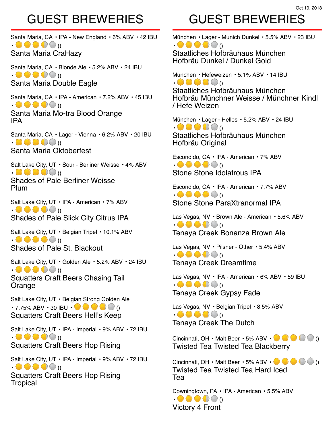Santa Maria, CA · IPA - New England · 6% ABV · 42 IBU  $\bullet \bullet \bullet \bullet \bullet$ Santa Maria CraHazy

Santa Maria, CA • Blonde Ale • 5.2% ABV • 24 IBU  $\bullet \bullet \bullet \bullet \bullet$ Santa Maria Double Eagle

Santa Maria, CA • IPA - American • 7.2% ABV • 45 IBU  $\bullet \bullet \bullet \bullet \bullet$ Santa Maria Mo-tra Blood Orange IPA

Santa Maria, CA • Lager - Vienna • 6.2% ABV • 20 IBU  $\bullet \bullet \bullet \bullet \bullet$ Santa Maria Oktoberfest

Salt Lake City, UT • Sour - Berliner Weisse • 4% ABV  $\bullet \bullet \bullet \bullet \bullet$ Shades of Pale Berliner Weisse

Plum

Salt Lake City, UT • IPA - American • 7% ABV  $\bullet \bullet \bullet \bullet \bullet$ Shades of Pale Slick City Citrus IPA

Salt Lake City, UT · Belgian Tripel · 10.1% ABV  $\bullet \bullet \bullet \bullet \bullet$ Shades of Pale St. Blackout

Salt Lake City, UT · Golden Ale · 5.2% ABV · 24 IBU  $\bullet \bullet \bullet \bullet \bullet$ Squatters Craft Beers Chasing Tail Orange

Salt Lake City, UT • Belgian Strong Golden Ale  $\cdot$  7.75% ABV  $\cdot$  30 IBU  $\cdot \bullet \bullet \bullet \bullet$  () Squatters Craft Beers Hell's Keep

Salt Lake City, UT · IPA - Imperial · 9% ABV · 72 IBU  $\bullet \bullet \bullet \bullet \bullet$ Squatters Craft Beers Hop Rising

Salt Lake City, UT · IPA - Imperial · 9% ABV · 72 IBU  $\bullet \bullet \bullet \bullet \bullet$ Squatters Craft Beers Hop Rising **Tropical** 

# GUEST BREWERIES

München • Lager - Munich Dunkel • 5.5% ABV • 23 IBU  $\bullet \bullet \bullet \bullet \bullet$ 

Staatliches Hofbräuhaus München Hofbräu Dunkel / Dunkel Gold

München • Hefeweizen • 5.1% ABV • 14 IBU  $\bullet \bullet \bullet \bullet \bullet$ Staatliches Hofbräuhaus München Hofbräu Münchner Weisse / Münchner Kindl / Hefe Weizen

München • Lager - Helles • 5.2% ABV • 24 IBU  $\bullet \bullet \bullet \bullet \bullet$ Staatliches Hofbräuhaus München Hofbräu Original

Escondido, CA • IPA - American • 7% ABV  $\bullet \bullet \bullet \bullet \bullet$ Stone Stone Idolatrous IPA

Escondido, CA • IPA - American • 7.7% ABV  $\bullet \bullet \bullet \bullet \bullet$ Stone Stone ParaXtranormal IPA

Las Vegas, NV · Brown Ale - American · 5.6% ABV  $\bullet \bullet \bullet \bullet \bullet$ Tenaya Creek Bonanza Brown Ale

Las Vegas, NV · Pilsner - Other · 5.4% ABV  $\bullet \bullet \bullet \bullet \bullet$ Tenaya Creek Dreamtime

Las Vegas, NV · IPA - American · 6% ABV · 59 IBU  $\bullet \bullet \bullet \bullet \bullet$ Tenaya Creek Gypsy Fade

Las Vegas, NV • Belgian Tripel • 8.5% ABV  $\bullet \bullet \bullet \bullet \bullet$ Tenaya Creek The Dutch

Cincinnati, OH • Malt Beer • 5% ABV •  $\blacksquare$   $\blacksquare$  () Twisted Tea Twisted Tea Blackberry

Cincinnati, OH • Malt Beer • 5% ABV •  $\bullet \bullet \bullet \bullet$ Twisted Tea Twisted Tea Hard Iced Tea

Downingtown, PA • IPA - American • 5.5% ABV  $\bullet \bullet \bullet \bullet \bullet$ Victory 4 Front